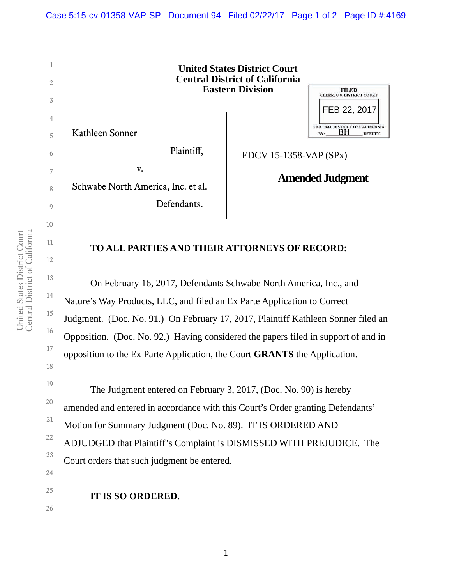

## **TO ALL PARTIES AND THEIR ATTORNEYS OF RECORD**:

 On February 16, 2017, Defendants Schwabe North America, Inc., and Nature's Way Products, LLC, and filed an Ex Parte Application to Correct Judgment. (Doc. No. 91.) On February 17, 2017, Plaintiff Kathleen Sonner filed an Opposition. (Doc. No. 92.) Having considered the papers filed in support of and in opposition to the Ex Parte Application, the Court **GRANTS** the Application.

The Judgment entered on February 3, 2017, (Doc. No. 90) is hereby amended and entered in accordance with this Court's Order granting Defendants' Motion for Summary Judgment (Doc. No. 89). IT IS ORDERED AND ADJUDGED that Plaintiff's Complaint is DISMISSED WITH PREJUDICE. The Court orders that such judgment be entered.

**IT IS SO ORDERED.**

10

11

12

13

14

15